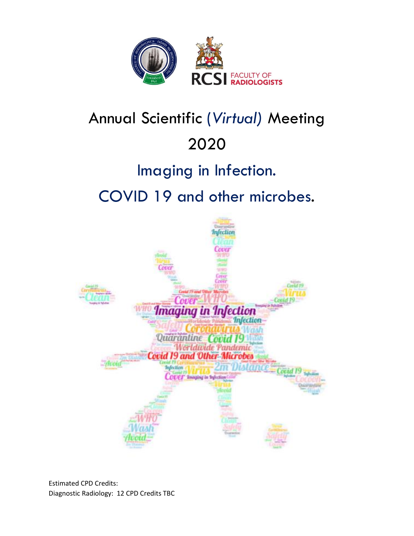

# Annual Scientific (*Virtual)* Meeting 2020

## Imaging in Infection.

## COVID 19 and other microbes.



Estimated CPD Credits: Diagnostic Radiology: 12 CPD Credits TBC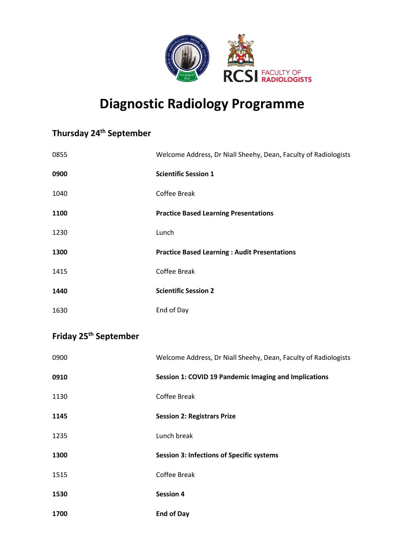

## **Diagnostic Radiology Programme**

### **Thursday 24th September**

| 0855 | Welcome Address, Dr Niall Sheehy, Dean, Faculty of Radiologists |
|------|-----------------------------------------------------------------|
| 0900 | <b>Scientific Session 1</b>                                     |
| 1040 | Coffee Break                                                    |
| 1100 | <b>Practice Based Learning Presentations</b>                    |
| 1230 | Lunch                                                           |
| 1300 | <b>Practice Based Learning: Audit Presentations</b>             |
| 1415 | Coffee Break                                                    |
| 1440 | <b>Scientific Session 2</b>                                     |
| 1630 | End of Day                                                      |

### **Friday 25th September**

| 0900 | Welcome Address, Dr Niall Sheehy, Dean, Faculty of Radiologists |
|------|-----------------------------------------------------------------|
| 0910 | <b>Session 1: COVID 19 Pandemic Imaging and Implications</b>    |
| 1130 | Coffee Break                                                    |
| 1145 | <b>Session 2: Registrars Prize</b>                              |
| 1235 | Lunch break                                                     |
| 1300 | <b>Session 3: Infections of Specific systems</b>                |
| 1515 | Coffee Break                                                    |
| 1530 | <b>Session 4</b>                                                |
| 1700 | <b>End of Day</b>                                               |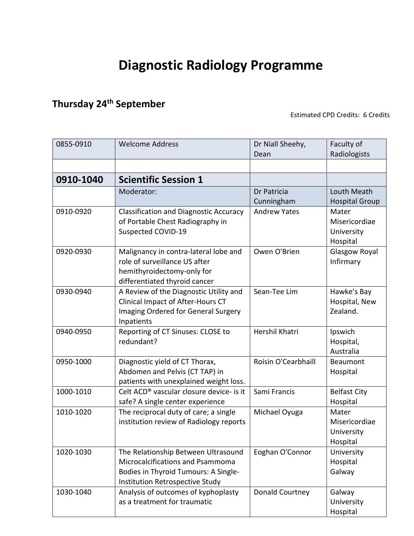## **Diagnostic Radiology Programme**

## **Thursday 24th September**

Estimated CPD Credits: 6 Credits

| 0855-0910 | <b>Welcome Address</b>                                                                                                                             | Dr Niall Sheehy,<br>Dean  | Faculty of<br>Radiologists                       |
|-----------|----------------------------------------------------------------------------------------------------------------------------------------------------|---------------------------|--------------------------------------------------|
|           |                                                                                                                                                    |                           |                                                  |
| 0910-1040 | <b>Scientific Session 1</b>                                                                                                                        |                           |                                                  |
|           | Moderator:                                                                                                                                         | Dr Patricia<br>Cunningham | Louth Meath<br><b>Hospital Group</b>             |
| 0910-0920 | <b>Classification and Diagnostic Accuracy</b><br>of Portable Chest Radiography in<br>Suspected COVID-19                                            | <b>Andrew Yates</b>       | Mater<br>Misericordiae<br>University<br>Hospital |
| 0920-0930 | Malignancy in contra-lateral lobe and<br>role of surveillance US after<br>hemithyroidectomy-only for<br>differentiated thyroid cancer              | Owen O'Brien              | Glasgow Royal<br>Infirmary                       |
| 0930-0940 | A Review of the Diagnostic Utility and<br>Clinical Impact of After-Hours CT<br>Imaging Ordered for General Surgery<br>Inpatients                   | Sean-Tee Lim              | Hawke's Bay<br>Hospital, New<br>Zealand.         |
| 0940-0950 | Reporting of CT Sinuses: CLOSE to<br>redundant?                                                                                                    | Hershil Khatri            | Ipswich<br>Hospital,<br>Australia                |
| 0950-1000 | Diagnostic yield of CT Thorax,<br>Abdomen and Pelvis (CT TAP) in<br>patients with unexplained weight loss.                                         | Roisin O'Cearbhaill       | Beaumont<br>Hospital                             |
| 1000-1010 | Celt ACD <sup>®</sup> vascular closure device- is it<br>safe? A single center experience                                                           | Sami Francis              | <b>Belfast City</b><br>Hospital                  |
| 1010-1020 | The reciprocal duty of care; a single<br>institution review of Radiology reports                                                                   | Michael Oyuga             | Mater<br>Misericordiae<br>University<br>Hospital |
| 1020-1030 | The Relationship Between Ultrasound<br>Microcalcifications and Psammoma<br>Bodies in Thyroid Tumours: A Single-<br>Institution Retrospective Study | Eoghan O'Connor           | University<br>Hospital<br>Galway                 |
| 1030-1040 | Analysis of outcomes of kyphoplasty<br>as a treatment for traumatic                                                                                | Donald Courtney           | Galway<br>University<br>Hospital                 |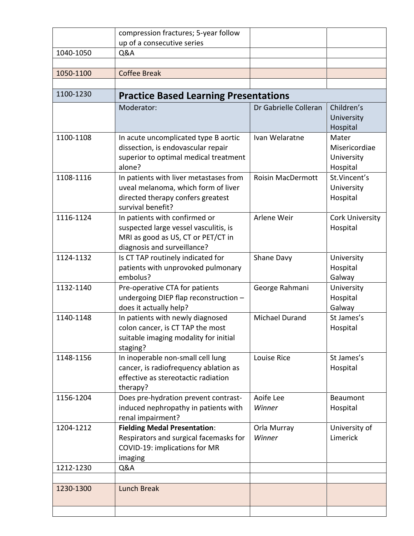|           | compression fractures; 5-year follow                                                                                                        |                          |                                                  |
|-----------|---------------------------------------------------------------------------------------------------------------------------------------------|--------------------------|--------------------------------------------------|
| 1040-1050 | up of a consecutive series<br>Q&A                                                                                                           |                          |                                                  |
|           |                                                                                                                                             |                          |                                                  |
| 1050-1100 | <b>Coffee Break</b>                                                                                                                         |                          |                                                  |
|           |                                                                                                                                             |                          |                                                  |
| 1100-1230 | <b>Practice Based Learning Presentations</b>                                                                                                |                          |                                                  |
|           | Moderator:                                                                                                                                  | Dr Gabrielle Colleran    | Children's<br>University<br>Hospital             |
| 1100-1108 | In acute uncomplicated type B aortic<br>dissection, is endovascular repair<br>superior to optimal medical treatment<br>alone?               | Ivan Welaratne           | Mater<br>Misericordiae<br>University<br>Hospital |
| 1108-1116 | In patients with liver metastases from<br>uveal melanoma, which form of liver<br>directed therapy confers greatest<br>survival benefit?     | <b>Roisin MacDermott</b> | St.Vincent's<br>University<br>Hospital           |
| 1116-1124 | In patients with confirmed or<br>suspected large vessel vasculitis, is<br>MRI as good as US, CT or PET/CT in<br>diagnosis and surveillance? | Arlene Weir              | <b>Cork University</b><br>Hospital               |
| 1124-1132 | Is CT TAP routinely indicated for<br>patients with unprovoked pulmonary<br>embolus?                                                         | Shane Davy               | University<br>Hospital<br>Galway                 |
| 1132-1140 | Pre-operative CTA for patients<br>undergoing DIEP flap reconstruction -<br>does it actually help?                                           | George Rahmani           | University<br>Hospital<br>Galway                 |
| 1140-1148 | In patients with newly diagnosed<br>colon cancer, is CT TAP the most<br>suitable imaging modality for initial<br>staging?                   | <b>Michael Durand</b>    | St James's<br>Hospital                           |
| 1148-1156 | In inoperable non-small cell lung<br>cancer, is radiofrequency ablation as<br>effective as stereotactic radiation<br>therapy?               | Louise Rice              | St James's<br>Hospital                           |
| 1156-1204 | Does pre-hydration prevent contrast-<br>induced nephropathy in patients with<br>renal impairment?                                           | Aoife Lee<br>Winner      | Beaumont<br>Hospital                             |
| 1204-1212 | <b>Fielding Medal Presentation:</b><br>Respirators and surgical facemasks for<br>COVID-19: implications for MR<br>imaging                   | Orla Murray<br>Winner    | University of<br>Limerick                        |
| 1212-1230 | Q&A                                                                                                                                         |                          |                                                  |
| 1230-1300 | <b>Lunch Break</b>                                                                                                                          |                          |                                                  |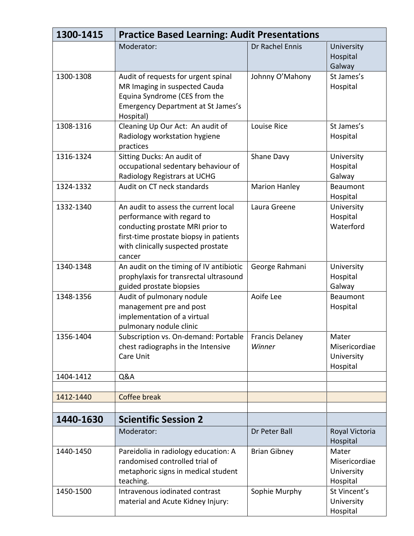| 1300-1415 | <b>Practice Based Learning: Audit Presentations</b>                                                                                                                                              |                                  |                                                  |
|-----------|--------------------------------------------------------------------------------------------------------------------------------------------------------------------------------------------------|----------------------------------|--------------------------------------------------|
|           | Moderator:                                                                                                                                                                                       | Dr Rachel Ennis                  | University<br>Hospital<br>Galway                 |
| 1300-1308 | Audit of requests for urgent spinal<br>MR Imaging in suspected Cauda<br>Equina Syndrome (CES from the<br><b>Emergency Department at St James's</b><br>Hospital)                                  | Johnny O'Mahony                  | St James's<br>Hospital                           |
| 1308-1316 | Cleaning Up Our Act: An audit of<br>Radiology workstation hygiene<br>practices                                                                                                                   | Louise Rice                      | St James's<br>Hospital                           |
| 1316-1324 | Sitting Ducks: An audit of<br>occupational sedentary behaviour of<br>Radiology Registrars at UCHG                                                                                                | Shane Davy                       | University<br>Hospital<br>Galway                 |
| 1324-1332 | Audit on CT neck standards                                                                                                                                                                       | <b>Marion Hanley</b>             | <b>Beaumont</b><br>Hospital                      |
| 1332-1340 | An audit to assess the current local<br>performance with regard to<br>conducting prostate MRI prior to<br>first-time prostate biopsy in patients<br>with clinically suspected prostate<br>cancer | Laura Greene                     | University<br>Hospital<br>Waterford              |
| 1340-1348 | An audit on the timing of IV antibiotic<br>prophylaxis for transrectal ultrasound<br>guided prostate biopsies                                                                                    | George Rahmani                   | University<br>Hospital<br>Galway                 |
| 1348-1356 | Audit of pulmonary nodule<br>management pre and post<br>implementation of a virtual<br>pulmonary nodule clinic                                                                                   | Aoife Lee                        | <b>Beaumont</b><br>Hospital                      |
| 1356-1404 | Subscription vs. On-demand: Portable<br>chest radiographs in the Intensive<br>Care Unit                                                                                                          | <b>Francis Delaney</b><br>Winner | Mater<br>Misericordiae<br>University<br>Hospital |
| 1404-1412 | Q&A                                                                                                                                                                                              |                                  |                                                  |
| 1412-1440 | Coffee break                                                                                                                                                                                     |                                  |                                                  |
| 1440-1630 | <b>Scientific Session 2</b>                                                                                                                                                                      |                                  |                                                  |
|           | Moderator:                                                                                                                                                                                       | Dr Peter Ball                    | Royal Victoria<br>Hospital                       |
| 1440-1450 | Pareidolia in radiology education: A<br>randomised controlled trial of<br>metaphoric signs in medical student<br>teaching.                                                                       | <b>Brian Gibney</b>              | Mater<br>Misericordiae<br>University<br>Hospital |
| 1450-1500 | Intravenous iodinated contrast<br>material and Acute Kidney Injury:                                                                                                                              | Sophie Murphy                    | St Vincent's<br>University<br>Hospital           |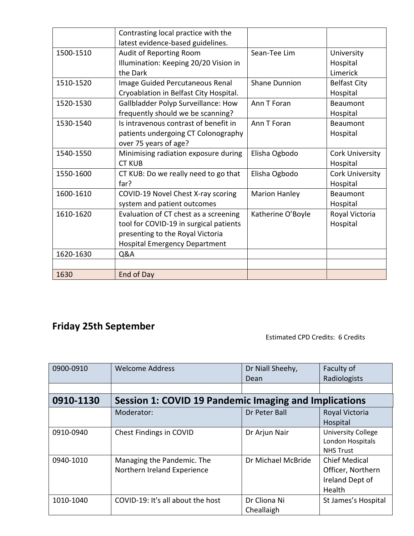|           | Contrasting local practice with the    |                      |                        |
|-----------|----------------------------------------|----------------------|------------------------|
|           | latest evidence-based guidelines.      |                      |                        |
| 1500-1510 | Audit of Reporting Room                | Sean-Tee Lim         | University             |
|           | Illumination: Keeping 20/20 Vision in  |                      | Hospital               |
|           | the Dark                               |                      | Limerick               |
| 1510-1520 | Image Guided Percutaneous Renal        | <b>Shane Dunnion</b> | <b>Belfast City</b>    |
|           | Cryoablation in Belfast City Hospital. |                      | Hospital               |
| 1520-1530 | Gallbladder Polyp Surveillance: How    | Ann T Foran          | Beaumont               |
|           | frequently should we be scanning?      |                      | Hospital               |
| 1530-1540 | Is intravenous contrast of benefit in  | Ann T Foran          | Beaumont               |
|           | patients undergoing CT Colonography    |                      | Hospital               |
|           | over 75 years of age?                  |                      |                        |
| 1540-1550 | Minimising radiation exposure during   | Elisha Ogbodo        | <b>Cork University</b> |
|           | <b>CT KUB</b>                          |                      | Hospital               |
| 1550-1600 | CT KUB: Do we really need to go that   | Elisha Ogbodo        | Cork University        |
|           | far?                                   |                      | Hospital               |
| 1600-1610 | COVID-19 Novel Chest X-ray scoring     | <b>Marion Hanley</b> | <b>Beaumont</b>        |
|           | system and patient outcomes            |                      | Hospital               |
| 1610-1620 | Evaluation of CT chest as a screening  | Katherine O'Boyle    | Royal Victoria         |
|           | tool for COVID-19 in surgical patients |                      | Hospital               |
|           | presenting to the Royal Victoria       |                      |                        |
|           | <b>Hospital Emergency Department</b>   |                      |                        |
| 1620-1630 | Q&A                                    |                      |                        |
|           |                                        |                      |                        |
| 1630      | End of Day                             |                      |                        |

### **Friday 25th September**

Estimated CPD Credits: 6 Credits

| 0900-0910 | <b>Welcome Address</b>                                       | Dr Niall Sheehy,<br>Dean | Faculty of<br>Radiologists |
|-----------|--------------------------------------------------------------|--------------------------|----------------------------|
|           |                                                              |                          |                            |
| 0910-1130 | <b>Session 1: COVID 19 Pandemic Imaging and Implications</b> |                          |                            |
|           | Moderator:                                                   | Dr Peter Ball            | Royal Victoria             |
|           |                                                              |                          | Hospital                   |
| 0910-0940 | Chest Findings in COVID                                      | Dr Arjun Nair            | <b>University College</b>  |
|           |                                                              |                          | London Hospitals           |
|           |                                                              |                          | <b>NHS Trust</b>           |
| 0940-1010 | Managing the Pandemic. The                                   | Dr Michael McBride       | <b>Chief Medical</b>       |
|           | Northern Ireland Experience                                  |                          | Officer, Northern          |
|           |                                                              |                          | Ireland Dept of            |
|           |                                                              |                          | Health                     |
| 1010-1040 | COVID-19: It's all about the host                            | Dr Cliona Ni             | St James's Hospital        |
|           |                                                              | Cheallaigh               |                            |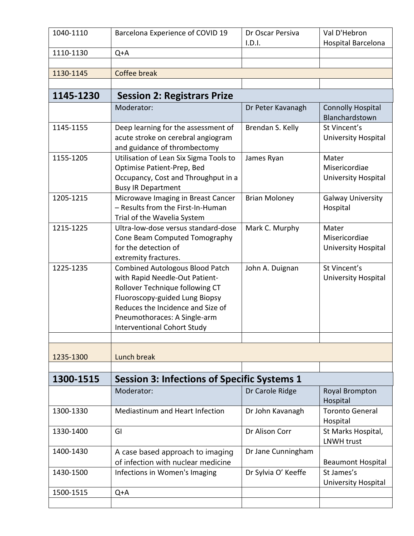| 1040-1110 | Barcelona Experience of COVID 19                                                                                                                                                                                                                         | Dr Oscar Persiva     | Val D'Hebron                                         |  |
|-----------|----------------------------------------------------------------------------------------------------------------------------------------------------------------------------------------------------------------------------------------------------------|----------------------|------------------------------------------------------|--|
| 1110-1130 | $Q+A$                                                                                                                                                                                                                                                    | I.D.I.               | Hospital Barcelona                                   |  |
|           |                                                                                                                                                                                                                                                          |                      |                                                      |  |
| 1130-1145 | Coffee break                                                                                                                                                                                                                                             |                      |                                                      |  |
|           |                                                                                                                                                                                                                                                          |                      |                                                      |  |
| 1145-1230 | <b>Session 2: Registrars Prize</b>                                                                                                                                                                                                                       |                      |                                                      |  |
|           | Moderator:                                                                                                                                                                                                                                               | Dr Peter Kavanagh    | <b>Connolly Hospital</b><br>Blanchardstown           |  |
| 1145-1155 | Deep learning for the assessment of<br>acute stroke on cerebral angiogram<br>and guidance of thrombectomy                                                                                                                                                | Brendan S. Kelly     | St Vincent's<br><b>University Hospital</b>           |  |
| 1155-1205 | Utilisation of Lean Six Sigma Tools to<br>Optimise Patient-Prep, Bed<br>Occupancy, Cost and Throughput in a<br><b>Busy IR Department</b>                                                                                                                 | James Ryan           | Mater<br>Misericordiae<br><b>University Hospital</b> |  |
| 1205-1215 | Microwave Imaging in Breast Cancer<br>- Results from the First-In-Human<br>Trial of the Wavelia System                                                                                                                                                   | <b>Brian Moloney</b> | <b>Galway University</b><br>Hospital                 |  |
| 1215-1225 | Ultra-low-dose versus standard-dose<br>Cone Beam Computed Tomography<br>for the detection of<br>extremity fractures.                                                                                                                                     | Mark C. Murphy       | Mater<br>Misericordiae<br><b>University Hospital</b> |  |
| 1225-1235 | <b>Combined Autologous Blood Patch</b><br>with Rapid Needle-Out Patient-<br>Rollover Technique following CT<br>Fluoroscopy-guided Lung Biopsy<br>Reduces the Incidence and Size of<br>Pneumothoraces: A Single-arm<br><b>Interventional Cohort Study</b> | John A. Duignan      | St Vincent's<br>University Hospital                  |  |
| 1235-1300 | Lunch break                                                                                                                                                                                                                                              |                      |                                                      |  |
|           |                                                                                                                                                                                                                                                          |                      |                                                      |  |
| 1300-1515 | <b>Session 3: Infections of Specific Systems 1</b>                                                                                                                                                                                                       |                      |                                                      |  |
|           | Moderator:                                                                                                                                                                                                                                               | Dr Carole Ridge      | <b>Royal Brompton</b><br>Hospital                    |  |
| 1300-1330 | Mediastinum and Heart Infection                                                                                                                                                                                                                          | Dr John Kavanagh     | <b>Toronto General</b><br>Hospital                   |  |
| 1330-1400 | GI                                                                                                                                                                                                                                                       | Dr Alison Corr       | St Marks Hospital,<br><b>LNWH trust</b>              |  |
| 1400-1430 | A case based approach to imaging<br>of infection with nuclear medicine                                                                                                                                                                                   | Dr Jane Cunningham   | <b>Beaumont Hospital</b>                             |  |
| 1430-1500 | Infections in Women's Imaging                                                                                                                                                                                                                            | Dr Sylvia O' Keeffe  | St James's<br><b>University Hospital</b>             |  |
| 1500-1515 | $Q+A$                                                                                                                                                                                                                                                    |                      |                                                      |  |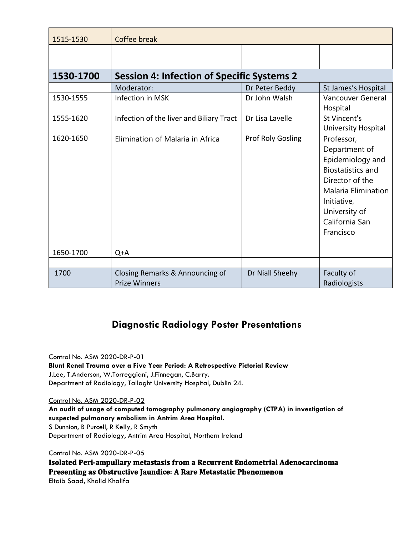| 1515-1530 | Coffee break                                            |                   |                                                                                                                                                                                             |  |
|-----------|---------------------------------------------------------|-------------------|---------------------------------------------------------------------------------------------------------------------------------------------------------------------------------------------|--|
|           |                                                         |                   |                                                                                                                                                                                             |  |
| 1530-1700 | <b>Session 4: Infection of Specific Systems 2</b>       |                   |                                                                                                                                                                                             |  |
|           | Moderator:                                              | Dr Peter Beddy    | St James's Hospital                                                                                                                                                                         |  |
| 1530-1555 | Infection in MSK                                        | Dr John Walsh     | <b>Vancouver General</b><br>Hospital                                                                                                                                                        |  |
| 1555-1620 | Infection of the liver and Biliary Tract                | Dr Lisa Lavelle   | St Vincent's<br>University Hospital                                                                                                                                                         |  |
| 1620-1650 | Elimination of Malaria in Africa                        | Prof Roly Gosling | Professor,<br>Department of<br>Epidemiology and<br><b>Biostatistics and</b><br>Director of the<br><b>Malaria Elimination</b><br>Initiative,<br>University of<br>California San<br>Francisco |  |
| 1650-1700 | $Q+A$                                                   |                   |                                                                                                                                                                                             |  |
| 1700      | Closing Remarks & Announcing of<br><b>Prize Winners</b> | Dr Niall Sheehy   | Faculty of<br>Radiologists                                                                                                                                                                  |  |

### **Diagnostic Radiology Poster Presentations**

Control No. ASM 2020-DR-P-01 **Blunt Renal Trauma over a Five Year Period: A Retrospective Pictorial Review** J.Lee, T.Anderson, W.Torreggiani, J.Finnegan, C.Barry. Department of Radiology, Tallaght University Hospital, Dublin 24.

Control No. ASM 2020-DR-P-02

**An audit of usage of computed tomography pulmonary angiography (CTPA) in investigation of suspected pulmonary embolism in Antrim Area Hospital.** S Dunnion, B Purcell, R Kelly, R Smyth

Department of Radiology, Antrim Area Hospital, Northern Ireland

Control No. ASM 2020-DR-P-05

**Isolated Peri-ampullary metastasis from a Recurrent Endometrial Adenocarcinoma** Presenting as Obstructive Jaundice: A Rare Metastatic Phenomenon Eltaib Saad, Khalid Khalifa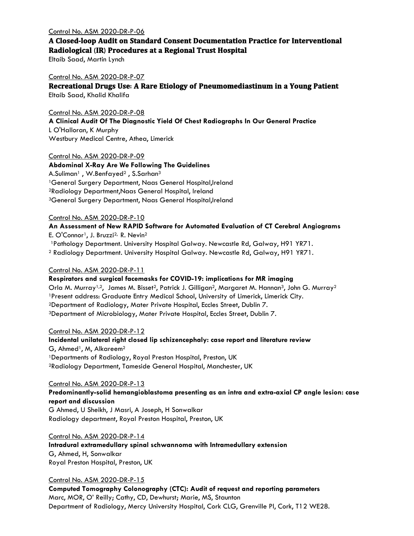#### Control No. ASM 2020-DR-P-06

#### **A Closed-loop Audit on Standard Consent Documentation Practice for Interventional Radiological (IR) Procedures at a Regional Trust Hospital**

Eltaib Saad, Martin Lynch

#### Control No. ASM 2020-DR-P-07

**Recreational Drugs Use: A Rare Etiology of Pneumomediastinum in a Young Patient** Eltaib Saad, Khalid Khalifa

#### Control No. ASM 2020-DR-P-08 **A Clinical Audit Of The Diagnostic Yield Of Chest Radiographs In Our General Practice** L O'Halloran, K Murphy Westbury Medical Centre, Athea, Limerick

Control No. ASM 2020-DR-P-09

**Abdominal X-Ray Are We Following The Guidelines** A.Suliman<sup>1</sup>, W.Benfayed<sup>2</sup>, S.Sarhan<sup>3</sup> <sup>1</sup>General Surgery Department, Naas General Hospital, Ireland <sup>2</sup>Radiology Department,Naas General Hospital, Ireland 3General Surgery Department, Naas General Hospital, Ireland

Control No. ASM 2020-DR-P-10

#### **An Assessment of New RAPID Software for Automated Evaluation of CT Cerebral Angiograms**

E. O'Connor<sup>1</sup>, J. Bruzzi<sup>2,</sup> R. Nevin<sup>2</sup>

<sup>1</sup>Pathology Department. University Hospital Galway. Newcastle Rd, Galway, H91 YR71.

<sup>2</sup> Radiology Department. University Hospital Galway. Newcastle Rd, Galway, H91 YR71.

#### Control No. ASM 2020-DR-P-11

#### **Respirators and surgical facemasks for COVID-19: implications for MR imaging**

Orla M. Murray<sup>1,2</sup>, James M. Bisset<sup>2</sup>, Patrick J. Gilligan<sup>2</sup>, Margaret M. Hannan<sup>3</sup>, John G. Murray<sup>2</sup> Present address: Graduate Entry Medical School, University of Limerick, Limerick City. Department of Radiology, Mater Private Hospital, Eccles Street, Dublin 7. Department of Microbiology, Mater Private Hospital, Eccles Street, Dublin 7.

#### Control No. ASM 2020-DR-P-12

**Incidental unilateral right closed lip schizencephaly: case report and literature review** G, Ahmed<sup>1</sup>, M, Alkareem<sup>2</sup> <sup>1</sup>Departments of Radiology, Royal Preston Hospital, Preston, UK <sup>2</sup>Radiology Department, Tameside General Hospital, Manchester, UK

#### Control No. ASM 2020-DR-P-13

#### **Predominantly-solid hemangioblastoma presenting as an intra and extra-axial CP angle lesion: case report and discussion**

G Ahmed, U Sheikh, J Masri, A Joseph, H Sonwalkar Radiology department, Royal Preston Hospital, Preston, UK

#### Control No. ASM 2020-DR-P-14

**Intradural extramedullary spinal schwannoma with Intramedullary extension** G, Ahmed, H, Sonwalkar Royal Preston Hospital, Preston, UK

Control No. ASM 2020-DR-P-15

**Computed Tomography Colonography (CTC): Audit of request and reporting parameters** Marc, MOR, O' Reilly; Cathy, CD, Dewhurst; Marie, MS, Staunton Department of Radiology, Mercy University Hospital, Cork CLG, Grenville Pl, Cork, T12 WE28.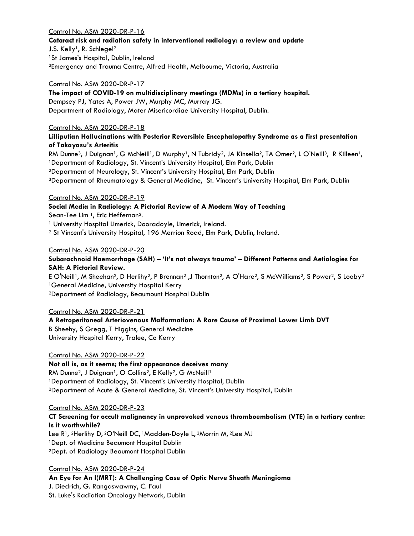#### Control No. ASM 2020-DR-P-16 **Cataract risk and radiation safety in interventional radiology: a review and update**

J.S. Kelly<sup>1</sup>, R. Schlegel<sup>2</sup> <sup>1</sup>St James's Hospital, Dublin, Ireland <sup>2</sup>Emergency and Trauma Centre, Alfred Health, Melbourne, Victoria, Australia

#### Control No. ASM 2020-DR-P-17

#### **The impact of COVID-19 on multidisciplinary meetings (MDMs) in a tertiary hospital.** Dempsey PJ, Yates A, Power JW, Murphy MC, Murray JG. Department of Radiology, Mater Misericordiae University Hospital, Dublin.

#### Control No. ASM 2020-DR-P-18

#### **Lilliputian Hallucinations with Posterior Reversible Encephalopathy Syndrome as a first presentation of Takayasu's Arteritis**

RM Dunne<sup>3</sup>, J Duignan<sup>1</sup>, G McNeill<sup>1</sup>, D Murphy<sup>1</sup>, N Tubridy<sup>2</sup>, JA Kinsella<sup>2</sup>, TA Omer<sup>2</sup>, L O'Neill<sup>3</sup>, R Killeen<sup>1</sup>, Department of Radiology, St. Vincent's University Hospital, Elm Park, Dublin Department of Neurology, St. Vincent's University Hospital, Elm Park, Dublin Department of Rheumatology & General Medicine, St. Vincent's University Hospital, Elm Park, Dublin

#### Control No. ASM 2020-DR-P-19

#### **Social Media in Radiology: A Pictorial Review of A Modern Way of Teaching**

Sean-Tee Lim<sup>1</sup>, Eric Heffernan<sup>2</sup>.

<sup>1</sup> University Hospital Limerick, Dooradoyle, Limerick, Ireland.

<sup>2</sup> St Vincent's University Hospital, 196 Merrion Road, Elm Park, Dublin, Ireland.

#### Control No. ASM 2020-DR-P-20

#### **Subarachnoid Haemorrhage (SAH) – 'It's not always trauma' – Different Patterns and Aetiologies for SAH: A Pictorial Review.**

E O'Neill<sup>1</sup>, M Sheehan<sup>2</sup>, D Herlihy<sup>2</sup>, P Brennan<sup>2</sup>, J Thornton<sup>2</sup>, A O'Hare<sup>2</sup>, S McWilliams<sup>2</sup>, S Power<sup>2</sup>, S Looby<sup>2</sup> <sup>1</sup>General Medicine, University Hospital Kerry

<sup>2</sup>Department of Radiology, Beaumount Hospital Dublin

#### Control No. ASM 2020-DR-P-21

#### **A Retroperitoneal Arteriovenous Malformation: A Rare Cause of Proximal Lower Limb DVT**

B Sheehy, S Gregg, T Higgins, General Medicine University Hospital Kerry, Tralee, Co Kerry

Control No. ASM 2020-DR-P-22

#### **Not all is, as it seems; the first appearance deceives many**

RM Dunne<sup>2</sup>, J Duignan<sup>1</sup>, O Collins<sup>2</sup>, E Kelly<sup>2</sup>, G McNeill<sup>1</sup> <sup>1</sup>Department of Radiology, St. Vincent's University Hospital, Dublin <sup>2</sup>Department of Acute & General Medicine, St. Vincent's University Hospital, Dublin

#### Control No. ASM 2020-DR-P-23

#### **CT Screening for occult malignancy in unprovoked venous thromboembolism (VTE) in a tertiary centre: Is it worthwhile?**

Lee R<sup>1</sup>, <sup>2</sup>Herlihy D, <sup>2</sup>O'Neill DC, <sup>1</sup>Madden-Doyle L, <sup>2</sup>Morrin M, <sup>2</sup>Lee MJ <sup>1</sup>Dept. of Medicine Beaumont Hospital Dublin <sup>2</sup>Dept. of Radiology Beaumont Hospital Dublin

#### Control No. ASM 2020-DR-P-24

**An Eye for An I(MRT): A Challenging Case of Optic Nerve Sheath Meningioma** J. Diedrich, G. Rangaswawmy, C. Faul St. Luke's Radiation Oncology Network, Dublin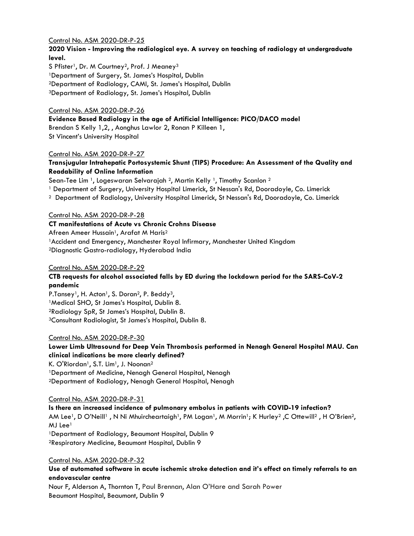#### Control No. ASM 2020-DR-P-25

#### **2020 Vision - Improving the radiological eye. A survey on teaching of radiology at undergraduate level.**

S Pfister<sup>1</sup>, Dr. M Courtney<sup>2</sup>, Prof. J Meaney<sup>3</sup> Department of Surgery, St. James's Hospital, Dublin Department of Radiology, CAMI, St. James's Hospital, Dublin Department of Radiology, St. James's Hospital, Dublin

#### Control No. ASM 2020-DR-P-26

**Evidence Based Radiology in the age of Artificial Intelligence: PICO/DACO model** Brendan S Kelly 1,2, , Aonghus Lawlor 2, Ronan P Killeen 1, St Vincent's University Hospital

#### Control No. ASM 2020-DR-P-27

#### **Transjugular Intrahepatic Portosystemic Shunt (TIPS) Procedure: An Assessment of the Quality and Readability of Online Information**

Sean-Tee Lim<sup>1</sup>, Logeswaran Selvarajah <sup>2</sup>, Martin Kelly<sup>1</sup>, Timothy Scanlon <sup>2</sup>

<sup>1</sup> Department of Surgery, University Hospital Limerick, St Nessan's Rd, Dooradoyle, Co. Limerick

<sup>2</sup> Department of Radiology, University Hospital Limerick, St Nessan's Rd, Dooradoyle, Co. Limerick

#### Control No. ASM 2020-DR-P-28

#### **CT manifestations of Acute vs Chronic Crohns Disease**

Afreen Ameer Hussain<sup>1</sup>, Arafat M Haris<sup>2</sup>

<sup>1</sup>Accident and Emergency, Manchester Royal Infirmary, Manchester United Kingdom <sup>2</sup>Diagnostic Gastro-radiology, Hyderabad India

#### Control No. ASM 2020-DR-P-29

#### **CTB requests for alcohol associated falls by ED during the lockdown period for the SARS-CoV-2 pandemic**

P.Tansey<sup>1</sup>, H. Acton<sup>1</sup>, S. Doran<sup>2</sup>, P. Beddy<sup>3</sup>, Medical SHO, St James's Hospital, Dublin 8. Radiology SpR, St James's Hospital, Dublin 8. Consultant Radiologist, St James's Hospital, Dublin 8.

#### Control No. ASM 2020-DR-P-30

#### **Lower Limb Ultrasound for Deep Vein Thrombosis performed in Nenagh General Hospital MAU. Can clinical indications be more clearly defined?**

K. O'Riordan<sup>1</sup>, S.T. Lim<sup>1</sup>, J. Noonan<sup>2</sup> <sup>1</sup>Department of Medicine, Nenagh General Hospital, Nenagh

#### <sup>2</sup>Department of Radiology, Nenagh General Hospital, Nenagh

#### Control No. ASM 2020-DR-P-31

**Is there an increased incidence of pulmonary embolus in patients with COVID-19 infection?** AM Lee<sup>1</sup>, D O'Neill<sup>1</sup>, N Ni Mhuircheartaigh<sup>1</sup>, PM Logan<sup>1</sup>, M Morrin<sup>1</sup>; K Hurley<sup>2</sup>, C Ottewill<sup>2</sup>, H O'Brien<sup>2</sup>, MJ Lee<sup>1</sup> <sup>1</sup>Department of Radiology, Beaumont Hospital, Dublin 9

<sup>2</sup>Respiratory Medicine, Beaumont Hospital, Dublin 9

#### Control No. ASM 2020-DR-P-32

**Use of automated software in acute ischemic stroke detection and it's effect on timely referrals to an endovascular centre**

Nour F, Alderson A, Thornton T, Paul Brennan, Alan O'Hare and Sarah Power Beaumont Hospital, Beaumont, Dublin 9